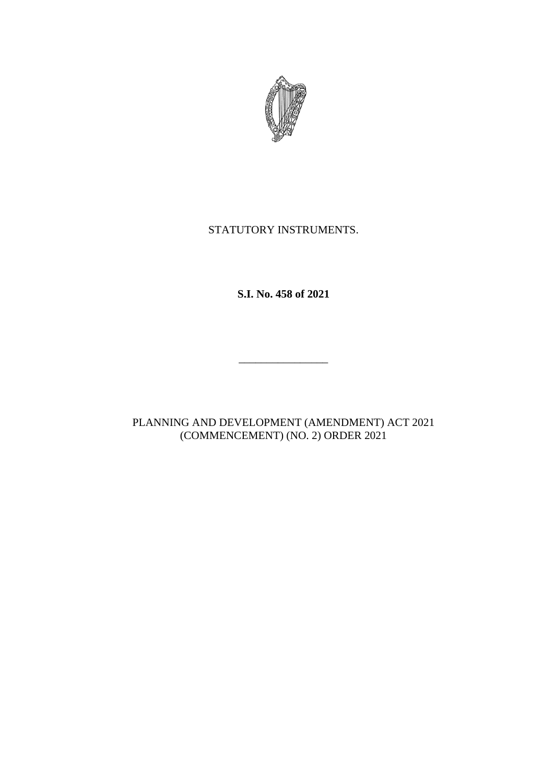

# STATUTORY INSTRUMENTS.

**S.I. No. 458 of 2021**

\_\_\_\_\_\_\_\_\_\_\_\_\_\_\_\_

PLANNING AND DEVELOPMENT (AMENDMENT) ACT 2021 (COMMENCEMENT) (NO. 2) ORDER 2021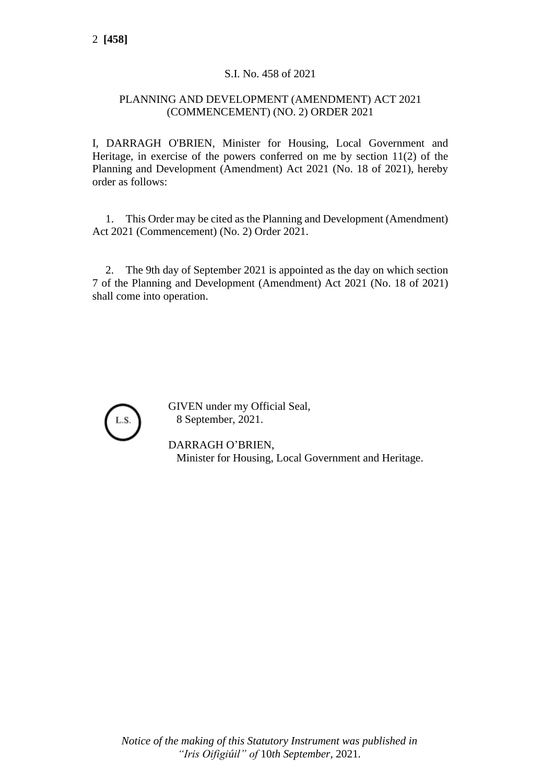## S.I. No. 458 of 2021

### PLANNING AND DEVELOPMENT (AMENDMENT) ACT 2021 (COMMENCEMENT) (NO. 2) ORDER 2021

I, DARRAGH O'BRIEN, Minister for Housing, Local Government and Heritage, in exercise of the powers conferred on me by section 11(2) of the Planning and Development (Amendment) Act 2021 (No. 18 of 2021), hereby order as follows:

1. This Order may be cited as the Planning and Development (Amendment) Act 2021 (Commencement) (No. 2) Order 2021.

2. The 9th day of September 2021 is appointed as the day on which section 7 of the Planning and Development (Amendment) Act 2021 (No. 18 of 2021) shall come into operation.



GIVEN under my Official Seal, 8 September, 2021.

DARRAGH O'BRIEN, Minister for Housing, Local Government and Heritage.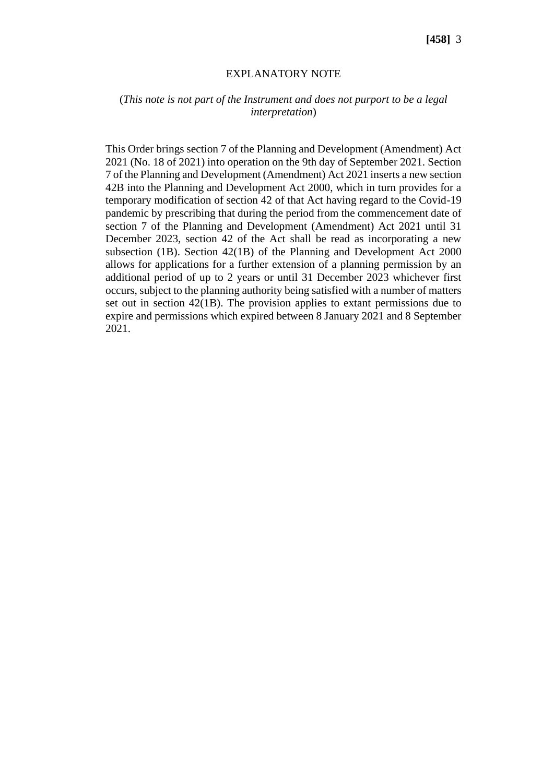#### EXPLANATORY NOTE

#### (*This note is not part of the Instrument and does not purport to be a legal interpretation*)

This Order brings section 7 of the Planning and Development (Amendment) Act 2021 (No. 18 of 2021) into operation on the 9th day of September 2021. Section 7 of the Planning and Development (Amendment) Act 2021 inserts a new section 42B into the Planning and Development Act 2000, which in turn provides for a temporary modification of section 42 of that Act having regard to the Covid-19 pandemic by prescribing that during the period from the commencement date of section 7 of the Planning and Development (Amendment) Act 2021 until 31 December 2023, section 42 of the Act shall be read as incorporating a new subsection (1B). Section 42(1B) of the Planning and Development Act 2000 allows for applications for a further extension of a planning permission by an additional period of up to 2 years or until 31 December 2023 whichever first occurs, subject to the planning authority being satisfied with a number of matters set out in section 42(1B). The provision applies to extant permissions due to expire and permissions which expired between 8 January 2021 and 8 September 2021.